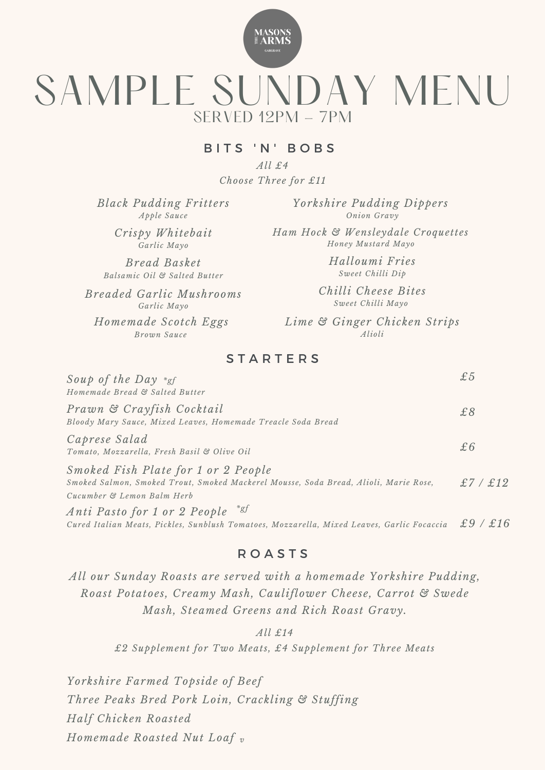

# SAMPLE SUNDAY MENU  $SFRVFD 12PM - 7PM$

#### BITS 'N' BOBS

*All £4 Choose Three for £11*

*Black Pudding Fritters Apple Sauce*

> *Crispy Whitebait Garlic Mayo*

*Bread Basket Balsamic Oil & Salted Butter*

*Breaded Garlic Mushrooms Garlic Mayo*

*Brown Sauce*

*Yorkshire Pudding Dippers Onion Gravy*

*Ham Hock & Wensleydale Croquettes Honey Mustard Mayo*

> *Halloumi Fries Sweet Chilli Dip*

*Chilli Cheese Bites Sweet Chilli Mayo*

*Homemade Scotch Eggs Lime & Ginger Chicken Strips Alioli*

## **STARTERS**

| Soup of the Day $*_{gf}$<br>Homemade Bread & Salted Butter                                                                                                |            |
|-----------------------------------------------------------------------------------------------------------------------------------------------------------|------------|
| Prawn & Crayfish Cocktail<br>Bloody Mary Sauce, Mixed Leaves, Homemade Treacle Soda Bread                                                                 | £8         |
| Caprese Salad<br>Tomato, Mozzarella, Fresh Basil & Olive Oil                                                                                              | £6         |
| Smoked Fish Plate for 1 or 2 People<br>Smoked Salmon, Smoked Trout, Smoked Mackerel Mousse, Soda Bread, Alioli, Marie Rose,<br>Cucumber & Lemon Balm Herb | £7 / £12   |
| $*gf$<br>Anti Pasto for 1 or 2 People<br>Cured Italian Meats, Pickles, Sunblush Tomatoes, Mozzarella, Mixed Leaves, Garlic Focaccia                       | f16<br>f.9 |

## R O A S T S

*All our Sunday Roasts are served with a homemade Yorkshire Pudding, Roast Potatoes, Creamy Mash, Cauliflower Cheese, Carrot & Swede Mash, Steamed Greens and Rich Roast Gravy.*

*All £14*

*£2 Supplement for Two Meats, £4 Supplement for Three Meats*

*Yorkshire Farmed Topside of Beef Three Peaks Bred Pork Loin, Crackling & Stuffing Half Chicken Roasted*

*Homemade Roasted Nut Loaf v*